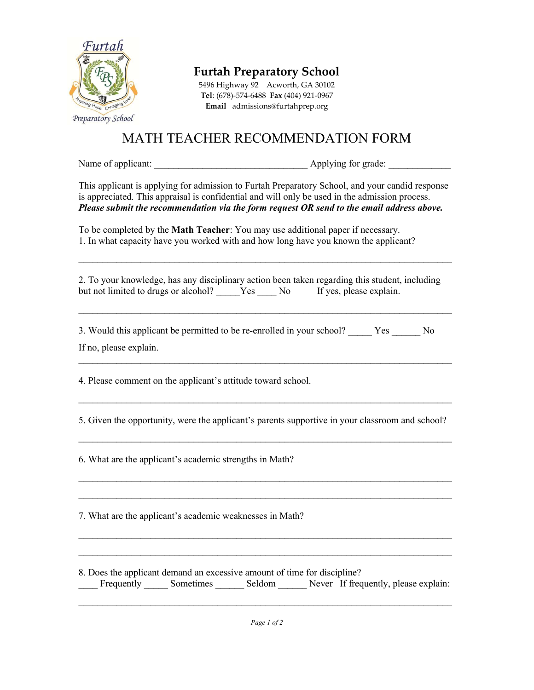

Furtah Preparatory School

5496 Highway 92 Acworth, GA 30102 Tel: (678)-574-6488 Fax (404) 921-0967 Email admissions@furtahprep.org

## MATH TEACHER RECOMMENDATION FORM

Name of applicant:  $\Delta$  Applying for grade:

This applicant is applying for admission to Furtah Preparatory School, and your candid response is appreciated. This appraisal is confidential and will only be used in the admission process. Please submit the recommendation via the form request OR send to the email address above.

To be completed by the Math Teacher: You may use additional paper if necessary. 1. In what capacity have you worked with and how long have you known the applicant?

2. To your knowledge, has any disciplinary action been taken regarding this student, including but not limited to drugs or alcohol? Yes No If yes, please explain.

 $\mathcal{L}_\mathcal{L} = \{ \mathcal{L}_\mathcal{L} = \{ \mathcal{L}_\mathcal{L} = \{ \mathcal{L}_\mathcal{L} = \{ \mathcal{L}_\mathcal{L} = \{ \mathcal{L}_\mathcal{L} = \{ \mathcal{L}_\mathcal{L} = \{ \mathcal{L}_\mathcal{L} = \{ \mathcal{L}_\mathcal{L} = \{ \mathcal{L}_\mathcal{L} = \{ \mathcal{L}_\mathcal{L} = \{ \mathcal{L}_\mathcal{L} = \{ \mathcal{L}_\mathcal{L} = \{ \mathcal{L}_\mathcal{L} = \{ \mathcal{L}_\mathcal{$ 

 $\mathcal{L}_\mathcal{L} = \{ \mathcal{L}_\mathcal{L} = \{ \mathcal{L}_\mathcal{L} = \{ \mathcal{L}_\mathcal{L} = \{ \mathcal{L}_\mathcal{L} = \{ \mathcal{L}_\mathcal{L} = \{ \mathcal{L}_\mathcal{L} = \{ \mathcal{L}_\mathcal{L} = \{ \mathcal{L}_\mathcal{L} = \{ \mathcal{L}_\mathcal{L} = \{ \mathcal{L}_\mathcal{L} = \{ \mathcal{L}_\mathcal{L} = \{ \mathcal{L}_\mathcal{L} = \{ \mathcal{L}_\mathcal{L} = \{ \mathcal{L}_\mathcal{$ 

 $\mathcal{L}_\text{max}$  and  $\mathcal{L}_\text{max}$  and  $\mathcal{L}_\text{max}$  and  $\mathcal{L}_\text{max}$  and  $\mathcal{L}_\text{max}$  and  $\mathcal{L}_\text{max}$ 

3. Would this applicant be permitted to be re-enrolled in your school? Yes No If no, please explain.

4. Please comment on the applicant's attitude toward school.

5. Given the opportunity, were the applicant's parents supportive in your classroom and school?

 $\mathcal{L}_\text{max}$  and  $\mathcal{L}_\text{max}$  and  $\mathcal{L}_\text{max}$  and  $\mathcal{L}_\text{max}$  and  $\mathcal{L}_\text{max}$  and  $\mathcal{L}_\text{max}$ 

 $\mathcal{L}_\mathcal{L} = \{ \mathcal{L}_\mathcal{L} = \{ \mathcal{L}_\mathcal{L} = \{ \mathcal{L}_\mathcal{L} = \{ \mathcal{L}_\mathcal{L} = \{ \mathcal{L}_\mathcal{L} = \{ \mathcal{L}_\mathcal{L} = \{ \mathcal{L}_\mathcal{L} = \{ \mathcal{L}_\mathcal{L} = \{ \mathcal{L}_\mathcal{L} = \{ \mathcal{L}_\mathcal{L} = \{ \mathcal{L}_\mathcal{L} = \{ \mathcal{L}_\mathcal{L} = \{ \mathcal{L}_\mathcal{L} = \{ \mathcal{L}_\mathcal{$  $\mathcal{L}_\mathcal{L} = \{ \mathcal{L}_\mathcal{L} = \{ \mathcal{L}_\mathcal{L} = \{ \mathcal{L}_\mathcal{L} = \{ \mathcal{L}_\mathcal{L} = \{ \mathcal{L}_\mathcal{L} = \{ \mathcal{L}_\mathcal{L} = \{ \mathcal{L}_\mathcal{L} = \{ \mathcal{L}_\mathcal{L} = \{ \mathcal{L}_\mathcal{L} = \{ \mathcal{L}_\mathcal{L} = \{ \mathcal{L}_\mathcal{L} = \{ \mathcal{L}_\mathcal{L} = \{ \mathcal{L}_\mathcal{L} = \{ \mathcal{L}_\mathcal{$ 

 $\mathcal{L}_\mathcal{L} = \{ \mathcal{L}_\mathcal{L} = \{ \mathcal{L}_\mathcal{L} = \{ \mathcal{L}_\mathcal{L} = \{ \mathcal{L}_\mathcal{L} = \{ \mathcal{L}_\mathcal{L} = \{ \mathcal{L}_\mathcal{L} = \{ \mathcal{L}_\mathcal{L} = \{ \mathcal{L}_\mathcal{L} = \{ \mathcal{L}_\mathcal{L} = \{ \mathcal{L}_\mathcal{L} = \{ \mathcal{L}_\mathcal{L} = \{ \mathcal{L}_\mathcal{L} = \{ \mathcal{L}_\mathcal{L} = \{ \mathcal{L}_\mathcal{$ 

6. What are the applicant's academic strengths in Math?

7. What are the applicant's academic weaknesses in Math?

8. Does the applicant demand an excessive amount of time for discipline? \_\_\_\_ Frequently \_\_\_\_\_ Sometimes \_\_\_\_\_\_ Seldom \_\_\_\_\_\_ Never If frequently, please explain:

 $\mathcal{L}_\text{max}$  and  $\mathcal{L}_\text{max}$  and  $\mathcal{L}_\text{max}$  and  $\mathcal{L}_\text{max}$  and  $\mathcal{L}_\text{max}$  and  $\mathcal{L}_\text{max}$ 

 $\mathcal{L}_\mathcal{L} = \{ \mathcal{L}_\mathcal{L} = \{ \mathcal{L}_\mathcal{L} = \{ \mathcal{L}_\mathcal{L} = \{ \mathcal{L}_\mathcal{L} = \{ \mathcal{L}_\mathcal{L} = \{ \mathcal{L}_\mathcal{L} = \{ \mathcal{L}_\mathcal{L} = \{ \mathcal{L}_\mathcal{L} = \{ \mathcal{L}_\mathcal{L} = \{ \mathcal{L}_\mathcal{L} = \{ \mathcal{L}_\mathcal{L} = \{ \mathcal{L}_\mathcal{L} = \{ \mathcal{L}_\mathcal{L} = \{ \mathcal{L}_\mathcal{$  $\mathcal{L}_\text{max}$  and  $\mathcal{L}_\text{max}$  and  $\mathcal{L}_\text{max}$  and  $\mathcal{L}_\text{max}$  and  $\mathcal{L}_\text{max}$  and  $\mathcal{L}_\text{max}$